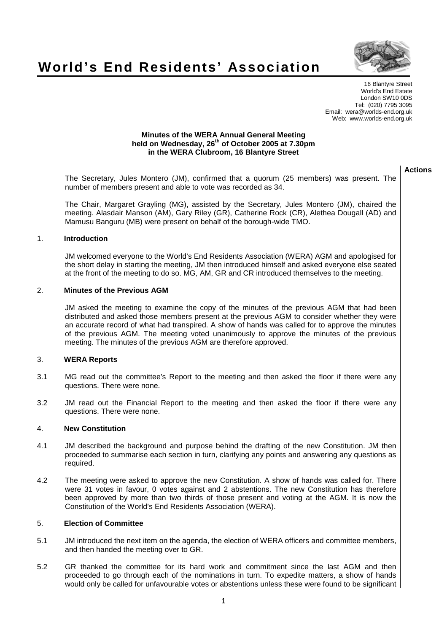



16 Blantyre Street World's End Estate London SW10 0DS Tel: (020) 7795 3095 Email: wera@worlds-end.org.uk Web: www.worlds-end.org.uk

#### **Minutes of the WERA Annual General Meeting held on Wednesday, 26th of October 2005 at 7.30pm in the WERA Clubroom, 16 Blantyre Street**

| <b>Actions</b> |
|----------------|
|                |

| The Secretary, Jules Montero (JM), confirmed that a quorum (25 members) was present. The<br>number of members present and able to vote was recorded as 34. |  |
|------------------------------------------------------------------------------------------------------------------------------------------------------------|--|
| The Chair Margaret Craving (MC) accided by the Secretary Jules Montero (JM) chaired the                                                                    |  |

The Chair, Margaret Grayling (MG), assisted by the Secretary, Jules Montero (JM), chaired the meeting. Alasdair Manson (AM), Gary Riley (GR), Catherine Rock (CR), Alethea Dougall (AD) and Mamusu Banguru (MB) were present on behalf of the borough-wide TMO.

## 1. **Introduction**

JM welcomed everyone to the World's End Residents Association (WERA) AGM and apologised for the short delay in starting the meeting, JM then introduced himself and asked everyone else seated at the front of the meeting to do so. MG, AM, GR and CR introduced themselves to the meeting.

## 2. **Minutes of the Previous AGM**

JM asked the meeting to examine the copy of the minutes of the previous AGM that had been distributed and asked those members present at the previous AGM to consider whether they were an accurate record of what had transpired. A show of hands was called for to approve the minutes of the previous AGM. The meeting voted unanimously to approve the minutes of the previous meeting. The minutes of the previous AGM are therefore approved.

# 3. **WERA Reports**

- 3.1 MG read out the committee's Report to the meeting and then asked the floor if there were any questions. There were none.
- 3.2 JM read out the Financial Report to the meeting and then asked the floor if there were any questions. There were none.

#### 4. **New Constitution**

- 4.1 JM described the background and purpose behind the drafting of the new Constitution. JM then proceeded to summarise each section in turn, clarifying any points and answering any questions as required.
- 4.2 The meeting were asked to approve the new Constitution. A show of hands was called for. There were 31 votes in favour, 0 votes against and 2 abstentions. The new Constitution has therefore been approved by more than two thirds of those present and voting at the AGM. It is now the Constitution of the World's End Residents Association (WERA).

## 5. **Election of Committee**

- 5.1 JM introduced the next item on the agenda, the election of WERA officers and committee members, and then handed the meeting over to GR.
- 5.2 GR thanked the committee for its hard work and commitment since the last AGM and then proceeded to go through each of the nominations in turn. To expedite matters, a show of hands would only be called for unfavourable votes or abstentions unless these were found to be significant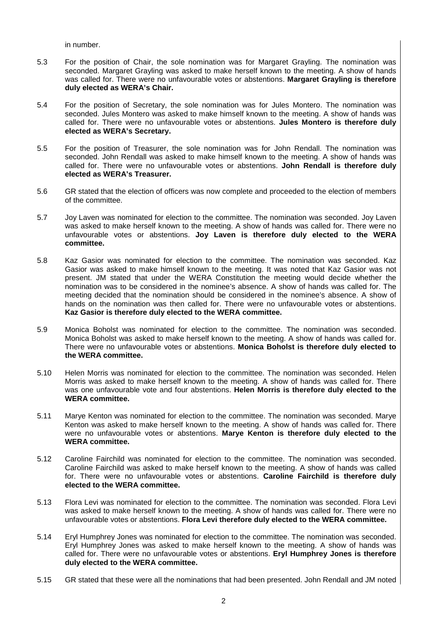in number.

- 5.3 For the position of Chair, the sole nomination was for Margaret Grayling. The nomination was seconded. Margaret Grayling was asked to make herself known to the meeting. A show of hands was called for. There were no unfavourable votes or abstentions. **Margaret Grayling is therefore duly elected as WERA's Chair.**
- 5.4 For the position of Secretary, the sole nomination was for Jules Montero. The nomination was seconded. Jules Montero was asked to make himself known to the meeting. A show of hands was called for. There were no unfavourable votes or abstentions. **Jules Montero is therefore duly elected as WERA's Secretary.**
- 5.5 For the position of Treasurer, the sole nomination was for John Rendall. The nomination was seconded. John Rendall was asked to make himself known to the meeting. A show of hands was called for. There were no unfavourable votes or abstentions. **John Rendall is therefore duly elected as WERA's Treasurer.**
- 5.6 GR stated that the election of officers was now complete and proceeded to the election of members of the committee.
- 5.7 Joy Laven was nominated for election to the committee. The nomination was seconded. Joy Laven was asked to make herself known to the meeting. A show of hands was called for. There were no unfavourable votes or abstentions. **Joy Laven is therefore duly elected to the WERA committee.**
- 5.8 Kaz Gasior was nominated for election to the committee. The nomination was seconded. Kaz Gasior was asked to make himself known to the meeting. It was noted that Kaz Gasior was not present. JM stated that under the WERA Constitution the meeting would decide whether the nomination was to be considered in the nominee's absence. A show of hands was called for. The meeting decided that the nomination should be considered in the nominee's absence. A show of hands on the nomination was then called for. There were no unfavourable votes or abstentions. **Kaz Gasior is therefore duly elected to the WERA committee.**
- 5.9 Monica Boholst was nominated for election to the committee. The nomination was seconded. Monica Boholst was asked to make herself known to the meeting. A show of hands was called for. There were no unfavourable votes or abstentions. **Monica Boholst is therefore duly elected to the WERA committee.**
- 5.10 Helen Morris was nominated for election to the committee. The nomination was seconded. Helen Morris was asked to make herself known to the meeting. A show of hands was called for. There was one unfavourable vote and four abstentions. **Helen Morris is therefore duly elected to the WERA committee.**
- 5.11 Marye Kenton was nominated for election to the committee. The nomination was seconded. Marye Kenton was asked to make herself known to the meeting. A show of hands was called for. There were no unfavourable votes or abstentions. **Marye Kenton is therefore duly elected to the WERA committee.**
- 5.12 Caroline Fairchild was nominated for election to the committee. The nomination was seconded. Caroline Fairchild was asked to make herself known to the meeting. A show of hands was called for. There were no unfavourable votes or abstentions. **Caroline Fairchild is therefore duly elected to the WERA committee.**
- 5.13 Flora Levi was nominated for election to the committee. The nomination was seconded. Flora Levi was asked to make herself known to the meeting. A show of hands was called for. There were no unfavourable votes or abstentions. **Flora Levi therefore duly elected to the WERA committee.**
- 5.14 Eryl Humphrey Jones was nominated for election to the committee. The nomination was seconded. Eryl Humphrey Jones was asked to make herself known to the meeting. A show of hands was called for. There were no unfavourable votes or abstentions. **Eryl Humphrey Jones is therefore duly elected to the WERA committee.**
- 5.15 GR stated that these were all the nominations that had been presented. John Rendall and JM noted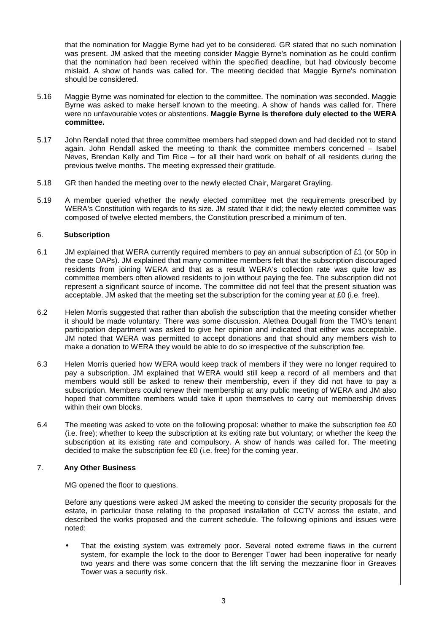that the nomination for Maggie Byrne had yet to be considered. GR stated that no such nomination was present. JM asked that the meeting consider Maggie Byrne's nomination as he could confirm that the nomination had been received within the specified deadline, but had obviously become mislaid. A show of hands was called for. The meeting decided that Maggie Byrne's nomination should be considered.

- 5.16 Maggie Byrne was nominated for election to the committee. The nomination was seconded. Maggie Byrne was asked to make herself known to the meeting. A show of hands was called for. There were no unfavourable votes or abstentions. **Maggie Byrne is therefore duly elected to the WERA committee.**
- 5.17 John Rendall noted that three committee members had stepped down and had decided not to stand again. John Rendall asked the meeting to thank the committee members concerned – Isabel Neves, Brendan Kelly and Tim Rice – for all their hard work on behalf of all residents during the previous twelve months. The meeting expressed their gratitude.
- 5.18 GR then handed the meeting over to the newly elected Chair, Margaret Grayling.
- 5.19 A member queried whether the newly elected committee met the requirements prescribed by WERA's Constitution with regards to its size. JM stated that it did; the newly elected committee was composed of twelve elected members, the Constitution prescribed a minimum of ten.

## 6. **Subscription**

- 6.1 JM explained that WERA currently required members to pay an annual subscription of £1 (or 50p in the case OAPs). JM explained that many committee members felt that the subscription discouraged residents from joining WERA and that as a result WERA's collection rate was quite low as committee members often allowed residents to join without paying the fee. The subscription did not represent a significant source of income. The committee did not feel that the present situation was acceptable. JM asked that the meeting set the subscription for the coming year at £0 (i.e. free).
- 6.2 Helen Morris suggested that rather than abolish the subscription that the meeting consider whether it should be made voluntary. There was some discussion. Alethea Dougall from the TMO's tenant participation department was asked to give her opinion and indicated that either was acceptable. JM noted that WERA was permitted to accept donations and that should any members wish to make a donation to WERA they would be able to do so irrespective of the subscription fee.
- 6.3 Helen Morris queried how WERA would keep track of members if they were no longer required to pay a subscription. JM explained that WERA would still keep a record of all members and that members would still be asked to renew their membership, even if they did not have to pay a subscription. Members could renew their membership at any public meeting of WERA and JM also hoped that committee members would take it upon themselves to carry out membership drives within their own blocks.
- 6.4 The meeting was asked to vote on the following proposal: whether to make the subscription fee £0 (i.e. free); whether to keep the subscription at its exiting rate but voluntary; or whether the keep the subscription at its existing rate and compulsory. A show of hands was called for. The meeting decided to make the subscription fee £0 (i.e. free) for the coming year.

# 7. **Any Other Business**

MG opened the floor to questions.

Before any questions were asked JM asked the meeting to consider the security proposals for the estate, in particular those relating to the proposed installation of CCTV across the estate, and described the works proposed and the current schedule. The following opinions and issues were noted:

That the existing system was extremely poor. Several noted extreme flaws in the current system, for example the lock to the door to Berenger Tower had been inoperative for nearly two years and there was some concern that the lift serving the mezzanine floor in Greaves Tower was a security risk.